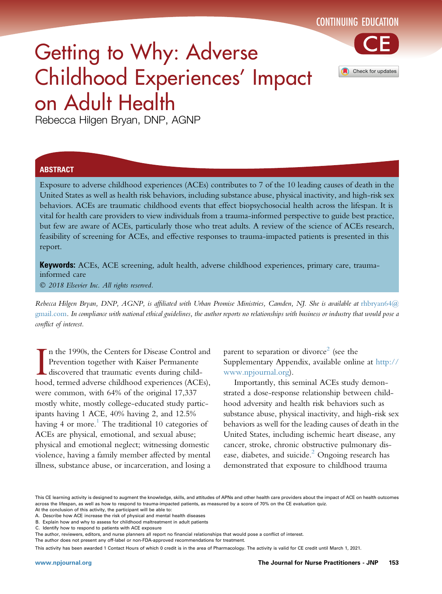

# Getting to Why: Adverse Childhood Experiences' Impact on Adult Health

Rebecca Hilgen Bryan, DNP, AGNP

### **ABSTRACT**

Exposure to adverse childhood experiences (ACEs) contributes to 7 of the 10 leading causes of death in the United States as well as health risk behaviors, including substance abuse, physical inactivity, and high-risk sex behaviors. ACEs are traumatic childhood events that effect biopsychosocial health across the lifespan. It is vital for health care providers to view individuals from a trauma-informed perspective to guide best practice, but few are aware of ACEs, particularly those who treat adults. A review of the science of ACEs research, feasibility of screening for ACEs, and effective responses to trauma-impacted patients is presented in this report.

**Keywords:** ACEs, ACE screening, adult health, adverse childhood experiences, primary care, traumainformed care 2018 Elsevier Inc. All rights reserved.

Rebecca Hilgen Bryan, DNP, AGNP, is affiliated with Urban Promise Ministries, Camden, NJ. She is available at [rhbryan64@](mailto:rhbryan64@gmail.com) [gmail.com](mailto:rhbryan64@gmail.com). In compliance with national ethical guidelines, the author reports no relationships with business or industry that would pose a conflict of interest.

In the 1990s, the Centers for Disease Control and<br>Prevention together with Kaiser Permanente<br>discovered that traumatic events during child-<br>hood, termed adverse childhood experiences (ACEs), n the 1990s, the Centers for Disease Control and Prevention together with Kaiser Permanente discovered that traumatic events during childwere common, with 64% of the original 17,337 mostly white, mostly college-educated study participants having 1 ACE, 40% having 2, and 12.5% having 4 or more.<sup>1</sup> The traditional 10 categories of ACEs are physical, emotional, and sexual abuse; physical and emotional neglect; witnessing domestic violence, having a family member affected by mental illness, substance abuse, or incarceration, and losing a

parent to separation or divorce<sup>[2](#page-4-0)</sup> (see the Supplementary Appendix, available online at [http://](http://www.npjournal.org) [www.npjournal.org](http://www.npjournal.org)).

Importantly, this seminal ACEs study demonstrated a dose-response relationship between childhood adversity and health risk behaviors such as substance abuse, physical inactivity, and high-risk sex behaviors as well for the leading causes of death in the United States, including ischemic heart disease, any cancer, stroke, chronic obstructive pulmonary disease, diabetes, and suicide.<sup>2</sup> Ongoing research has demonstrated that exposure to childhood trauma

This CE learning activity is designed to augment the knowledge, skills, and attitudes of APNs and other health care providers about the impact of ACE on health outcomes across the lifespan, as well as how to respond to trauma-impacted patients, as measured by a score of 70% on the CE evaluation quiz.

At the conclusion of this activity, the participant will be able to: A. Describe how ACE increase the risk of physical and mental health diseases

B. Explain how and why to assess for childhood maltreatment in adult patients

C. Identify how to respond to patients with ACE exposure

The author, reviewers, editors, and nurse planners all report no financial relationships that would pose a conflict of interest.

The author does not present any off-label or non-FDA-approved recommendations for treatment.

This activity has been awarded 1 Contact Hours of which 0 credit is in the area of Pharmacology. The activity is valid for CE credit until March 1, 2021.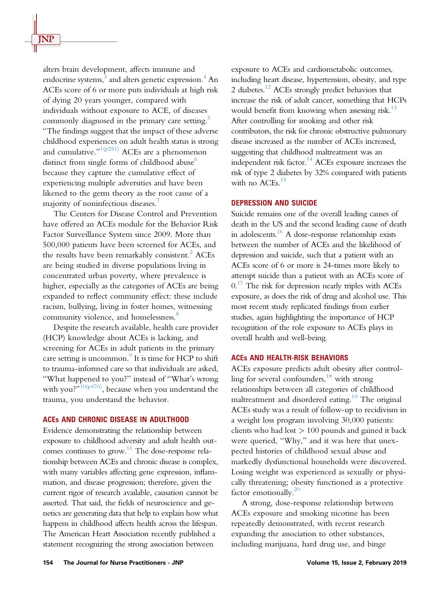alters brain development, affects immune and endocrine systems,<sup>[3](#page-4-0)</sup> and alters genetic expression.<sup>[4](#page-4-0)</sup> An ACEs score of 6 or more puts individuals at high risk of dying 20 years younger, compared with individuals without exposure to ACE, of diseases commonly diagnosed in the primary care setting.<sup>[5](#page-4-0)</sup> "The findings suggest that the impact of these adverse childhood experiences on adult health status is strong and cumulative." $1(p^{251})$  ACEs are a phenomenon distinct from single forms of childhood abuse $<sup>6</sup>$ </sup> because they capture the cumulative effect of experiencing multiple adversities and have been likened to the germ theory as the root cause of a majority of noninfectious diseases.<sup>7</sup>

The Centers for Disease Control and Prevention have offered an ACEs module for the Behavior Risk Factor Surveillance System since 2009. More than 500,000 patients have been screened for ACEs, and the results have been remarkably consistent.<sup>2</sup> ACEs are being studied in diverse populations living in concentrated urban poverty, where prevalence is higher, especially as the categories of ACEs are being expanded to reflect community effect: these include racism, bullying, living in foster homes, witnessing community violence, and homelessness.<sup>[8](#page-4-0)</sup>

Despite the research available, health care provider (HCP) knowledge about ACEs is lacking, and screening for ACEs in adult patients in the primary care setting is uncommon. $\degree$  It is time for HCP to shift to trauma-informed care so that individuals are asked, "What happened to you?" instead of "What's wrong with you?" $10(p476)$ , because when you understand the trauma, you understand the behavior.

#### ACEs AND CHRONIC DISEASE IN ADULTHOOD

Evidence demonstrating the relationship between exposure to childhood adversity and adult health outcomes continues to grow.<sup>11</sup> The dose-response relationship between ACEs and chronic disease is complex, with many variables affecting gene expression, inflammation, and disease progression; therefore, given the current rigor of research available, causation cannot be asserted. That said, the fields of neuroscience and genetics are generating data that help to explain how what happens in childhood affects health across the lifespan. The American Heart Association recently published a statement recognizing the strong association between

exposure to ACEs and cardiometabolic outcomes, including heart disease, hypertension, obesity, and type 2 diabetes.<sup>12</sup> ACEs strongly predict behaviors that increase the risk of adult cancer, something that HCPs would benefit from knowing when assessing risk.<sup>13</sup> After controlling for smoking and other risk contributors, the risk for chronic obstructive pulmonary disease increased as the number of ACEs increased, suggesting that childhood maltreatment was an independent risk factor. $14$  ACEs exposure increases the risk of type 2 diabetes by 32% compared with patients with no  $ACEs.<sup>15</sup>$ 

### DEPRESSION AND SUICIDE

Suicide remains one of the overall leading causes of death in the US and the second leading cause of death in adolescents.<sup>16</sup> A dose-response relationship exists between the number of ACEs and the likelihood of depression and suicide, such that a patient with an ACEs score of 6 or more is 24-times more likely to attempt suicide than a patient with an ACEs score of  $0.17$  $0.17$  The risk for depression nearly triples with ACEs exposure, as does the risk of drug and alcohol use. This most recent study replicated findings from earlier studies, again highlighting the importance of HCP recognition of the role exposure to ACEs plays in overall health and well-being.

#### ACEs AND HEALTH-RISK BEHAVIORS

ACEs exposure predicts adult obesity after controlling for several confounders, $18$  with strong relationships between all categories of childhood maltreatment and disordered eating.<sup>[19](#page-4-0)</sup> The original ACEs study was a result of follow-up to recidivism in a weight loss program involving 30,000 patients: clients who had lost  $> 100$  pounds and gained it back were queried, "Why," and it was here that unexpected histories of childhood sexual abuse and markedly dysfunctional households were discovered. Losing weight was experienced as sexually or physically threatening; obesity functioned as a protective factor emotionally. $20$ 

A strong, dose-response relationship between ACEs exposure and smoking nicotine has been repeatedly demonstrated, with recent research expanding the association to other substances, including marijuana, hard drug use, and binge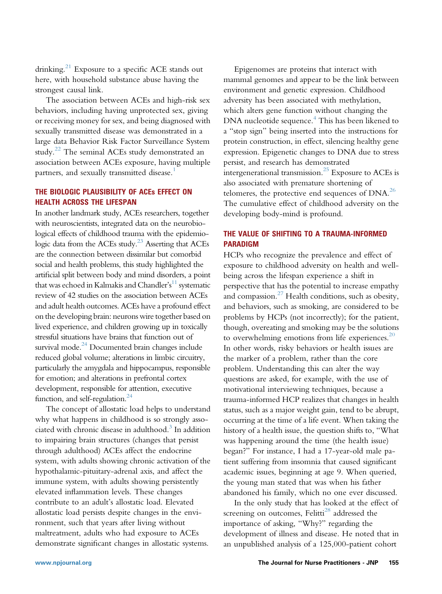drinking. $^{21}$  Exposure to a specific ACE stands out here, with household substance abuse having the strongest causal link.

The association between ACEs and high-risk sex behaviors, including having unprotected sex, giving or receiving money for sex, and being diagnosed with sexually transmitted disease was demonstrated in a large data Behavior Risk Factor Surveillance System study.<sup>[22](#page-4-0)</sup> The seminal ACEs study demonstrated an association between ACEs exposure, having multiple partners, and sexually transmitted disease.<sup>1</sup>

## THE BIOLOGIC PLAUSIBILITY OF ACEs EFFECT ON HEALTH ACROSS THE LIFESPAN

In another landmark study, ACEs researchers, together with neuroscientists, integrated data on the neurobiological effects of childhood trauma with the epidemiologic data from the ACEs study.<sup>23</sup> Asserting that ACEs are the connection between dissimilar but comorbid social and health problems, this study highlighted the artificial split between body and mind disorders, a point that was echoed in Kalmakis and Chandler's $^{\rm 11}$  $^{\rm 11}$  $^{\rm 11}$  systematic review of 42 studies on the association between ACEs and adult health outcomes. ACEs have a profound effect on the developing brain: neurons wire together based on lived experience, and children growing up in toxically stressful situations have brains that function out of survival mode. $^{24}$  Documented brain changes include reduced global volume; alterations in limbic circuitry, particularly the amygdala and hippocampus, responsible for emotion; and alterations in prefrontal cortex development, responsible for attention, executive function, and self-regulation. $24$ 

The concept of allostatic load helps to understand why what happens in childhood is so strongly associated with chronic disease in adulthood.<sup>3</sup> In addition to impairing brain structures (changes that persist through adulthood) ACEs affect the endocrine system, with adults showing chronic activation of the hypothalamic-pituitary-adrenal axis, and affect the immune system, with adults showing persistently elevated inflammation levels. These changes contribute to an adult's allostatic load. Elevated allostatic load persists despite changes in the environment, such that years after living without maltreatment, adults who had exposure to ACEs demonstrate significant changes in allostatic systems.

Epigenomes are proteins that interact with mammal genomes and appear to be the link between environment and genetic expression. Childhood adversity has been associated with methylation, which alters gene function without changing the DNA nucleotide sequence.<sup>4</sup> This has been likened to a "stop sign" being inserted into the instructions for protein construction, in effect, silencing healthy gene expression. Epigenetic changes to DNA due to stress persist, and research has demonstrated intergenerational transmission. $^{25}$  Exposure to ACEs is also associated with premature shortening of telomeres, the protective end sequences of DNA.<sup>[26](#page-4-0)</sup> The cumulative effect of childhood adversity on the developing body-mind is profound.

## THE VALUE OF SHIFTING TO A TRAUMA-INFORMED PARADIGM

HCPs who recognize the prevalence and effect of exposure to childhood adversity on health and wellbeing across the lifespan experience a shift in perspective that has the potential to increase empathy and compassion. $^{27}$  $^{27}$  $^{27}$  Health conditions, such as obesity, and behaviors, such as smoking, are considered to be problems by HCPs (not incorrectly); for the patient, though, overeating and smoking may be the solutions to overwhelming emotions from life experiences. $20$ In other words, risky behaviors or health issues are the marker of a problem, rather than the core problem. Understanding this can alter the way questions are asked, for example, with the use of motivational interviewing techniques, because a trauma-informed HCP realizes that changes in health status, such as a major weight gain, tend to be abrupt, occurring at the time of a life event. When taking the history of a health issue, the question shifts to, "What was happening around the time (the health issue) began?" For instance, I had a 17-year-old male patient suffering from insomnia that caused significant academic issues, beginning at age 9. When queried, the young man stated that was when his father abandoned his family, which no one ever discussed.

In the only study that has looked at the effect of screening on outcomes, Felitti<sup>28</sup> addressed the importance of asking, "Why?" regarding the development of illness and disease. He noted that in an unpublished analysis of a 125,000-patient cohort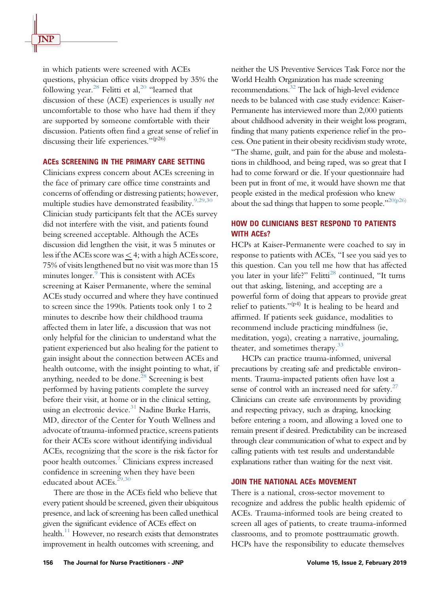in which patients were screened with ACEs questions, physician office visits dropped by 35% the following year. $^{28}$  $^{28}$  $^{28}$  Felitti et al,<sup>[20](#page-4-0)</sup> "learned that discussion of these (ACE) experiences is usually not uncomfortable to those who have had them if they are supported by someone comfortable with their discussion. Patients often find a great sense of relief in discussing their life experiences."(p26)

#### ACEs SCREENING IN THE PRIMARY CARE SETTING

Clinicians express concern about ACEs screening in the face of primary care office time constraints and concerns of offending or distressing patients; however, multiple studies have demonstrated feasibility.<sup>[9,29,30](#page-4-0)</sup> Clinician study participants felt that the ACEs survey did not interfere with the visit, and patients found being screened acceptable. Although the ACEs discussion did lengthen the visit, it was 5 minutes or less if the ACEs score was < 4; with a high ACEs score, 75% of visits lengthened but no visit was more than 15 minutes longer.<sup>[9](#page-4-0)</sup> This is consistent with ACEs screening at Kaiser Permanente, where the seminal ACEs study occurred and where they have continued to screen since the 1990s. Patients took only 1 to 2 minutes to describe how their childhood trauma affected them in later life, a discussion that was not only helpful for the clinician to understand what the patient experienced but also healing for the patient to gain insight about the connection between ACEs and health outcome, with the insight pointing to what, if anything, needed to be done. $^{28}$  Screening is best performed by having patients complete the survey before their visit, at home or in the clinical setting, using an electronic device. $31$  Nadine Burke Harris, MD, director of the Center for Youth Wellness and advocate of trauma-informed practice, screens patients for their ACEs score without identifying individual ACEs, recognizing that the score is the risk factor for poor health outcomes[.7](#page-4-0) Clinicians express increased confidence in screening when they have been educated about  $ACEs^{29,30}$  $ACEs^{29,30}$  $ACEs^{29,30}$ 

There are those in the ACEs field who believe that every patient should be screened, given their ubiquitous presence, and lack of screening has been called unethical given the significant evidence of ACEs effect on health.<sup>[11](#page-4-0)</sup> However, no research exists that demonstrates improvement in health outcomes with screening, and

neither the US Preventive Services Task Force nor the World Health Organization has made screening recommendations.<sup>[32](#page-4-0)</sup> The lack of high-level evidence needs to be balanced with case study evidence: Kaiser-Permanente has interviewed more than 2,000 patients about childhood adversity in their weight loss program, finding that many patients experience relief in the process. One patient in their obesity recidivism study wrote, "The shame, guilt, and pain for the abuse and molestations in childhood, and being raped, was so great that I had to come forward or die. If your questionnaire had been put in front of me, it would have shown me that people existed in the medical profession who knew about the sad things that happen to some people." $20(p26)$ 

## HOW DO CLINICIANS BEST RESPOND TO PATIENTS WITH ACEs?

HCPs at Kaiser-Permanente were coached to say in response to patients with ACEs, "I see you said yes to this question. Can you tell me how that has affected you later in your life?" Felitti<sup>28</sup> continued, "It turns out that asking, listening, and accepting are a powerful form of doing that appears to provide great relief to patients." $(p4)$  It is healing to be heard and affirmed. If patients seek guidance, modalities to recommend include practicing mindfulness (ie, meditation, yoga), creating a narrative, journaling, theater, and sometimes therapy.<sup>[33](#page-4-0)</sup>

HCPs can practice trauma-informed, universal precautions by creating safe and predictable environments. Trauma-impacted patients often have lost a sense of control with an increased need for safety.<sup>27</sup> Clinicians can create safe environments by providing and respecting privacy, such as draping, knocking before entering a room, and allowing a loved one to remain present if desired. Predictability can be increased through clear communication of what to expect and by calling patients with test results and understandable explanations rather than waiting for the next visit.

### JOIN THE NATIONAL ACEs MOVEMENT

There is a national, cross-sector movement to recognize and address the public health epidemic of ACEs. Trauma-informed tools are being created to screen all ages of patients, to create trauma-informed classrooms, and to promote posttraumatic growth. HCPs have the responsibility to educate themselves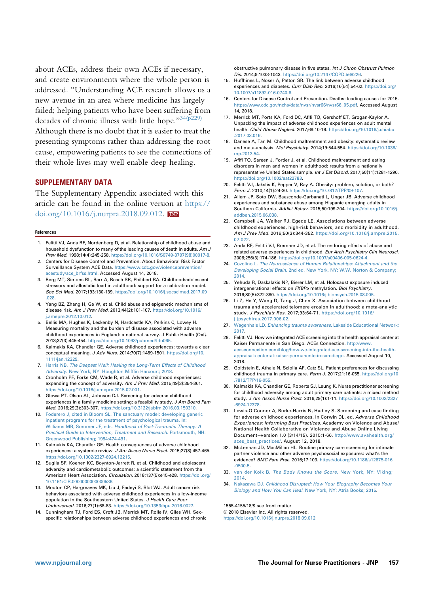<span id="page-4-0"></span>about ACEs, address their own ACEs if necessary, and create environments where the whole person is addressed. "Understanding ACE research allows us a new avenue in an area where medicine has largely failed; helping patients who have been suffering from decades of chronic illness with little hope."<sup>34(p229)</sup> Although there is no doubt that it is easier to treat the presenting symptoms rather than addressing the root cause, empowering patients to see the connections of their whole lives may well enable deep healing.

#### SUPPLEMENTARY DATA

The Supplementary Appendix associated with this article can be found in the online version at [https://](https://doi.org/10.1016/j.nurpra.2018.09.012) [doi.org/10.1016/j.nurpra.2018.09.012.](https://doi.org/10.1016/j.nurpra.2018.09.012)

#### References

- 1. Felitti VJ, Anda RF, Nordenberg D, et al. Relationship of childhood abuse and household dysfunction to many of the leading causes of death in adults. Am J Prev Med. 1998;14(4):245-258. [https://doi.org/10.1016/S0749-3797\(98\)00017-8.](https://doi.org/10.1016/S0749-3797(98)00017-8)
- 2. Centers for Disease Control and Prevention. About Behavioral Risk Factor Surveillance System ACE Data. [https://www.cdc.gov/violenceprevention/](https://www.cdc.gov/violenceprevention/acestudy/ace_brfss.html) [acestudy/ace\\_brfss.html.](https://www.cdc.gov/violenceprevention/acestudy/ace_brfss.html) Accessed August 14, 2018.
- 3. Berg MT, Simons RL, Barr A, Beach SR, Philibert RA. Childhood/adolescent stressors and allostatic load in adulthood: support for a calibration model. Soc Sci Med. 2017;193:130-139. [https://doi.org/10.1016/j.socscimed.2017.09](https://doi.org/10.1016/j.socscimed.2017.09.028) [.028](https://doi.org/10.1016/j.socscimed.2017.09.028).
- 4. Yang BZ, Zhang H, Ge W, et al. Child abuse and epigenetic mechanisms of disease risk. Am J Prev Med. 2013;44(2):101-107. [https://doi.org/10.1016/](https://doi.org/10.1016/j.amepre.2012.10.012) amepre.2012.10.012.
- 5. Bellis MA, Hughes K, Leckenby N, Hardcastle KA, Perkins C, Lowey H. Measuring mortality and the burden of disease associated with adverse childhood experiences in England: a national survey. J Public Health (Oxf). 2013;37(3):445-454. <https://doi.org/10.1093/pubmed/fdu065>.
- 6. Kalmakis KA, Chandler GE. Adverse childhood experiences: towards a clear conceptual meaning. J Adv Nurs. 2014;70(7):1489-1501. [https://doi.org/10.](https://doi.org/10.1111/jan.12329) [1111/jan.12329](https://doi.org/10.1111/jan.12329).
- 7. Harris NB. [The Deepest Well: Healing the Long-Term Effects of Childhood](http://refhub.elsevier.com/S1555-4155(18)30843-2/sref7) Adversity[. New York, NY: Houghton Mif](http://refhub.elsevier.com/S1555-4155(18)30843-2/sref7)flin Harcourt; 2018.
- 8. Cronholm PF, Forke CM, Wade R, et al. Adverse childhood experiences: expanding the concept of adversity. Am J Prev Med. 2015;49(3):354-361. <https://doi.org/10.1016/j.amepre.2015.02.001>.
- 9. Glowa PT, Olson AL, Johnson DJ. Screening for adverse childhood experiences in a family medicine setting: a feasibility study. J Am Board Fam Med. 2016;29(3):303-307. <https://doi.org/10.3122/jabfm.2016.03.150310>.
- 10. [Foderero J, cited in Bloom SL. The sanctuary model: developing generic](http://refhub.elsevier.com/S1555-4155(18)30843-2/sref10) [inpatient programs for the treatment of psychological trauma. In:](http://refhub.elsevier.com/S1555-4155(18)30843-2/sref10) Williams MB, Sommer JF, eds. [Handbook of Post-Traumatic Therapy: A](http://refhub.elsevier.com/S1555-4155(18)30843-2/sref10) [Practical Guide to Intervention, Treatment and Research](http://refhub.elsevier.com/S1555-4155(18)30843-2/sref10). Portsmouth, NH: [Greenwood Publishing; 1994:474-491.](http://refhub.elsevier.com/S1555-4155(18)30843-2/sref10)
- 11. Kalmakis KA, Chandler GE. Health consequences of adverse childhood experiences: a systemic review. J Am Assoc Nurse Pract. 2015;27(8):457-465. <https://doi.org/10.1002/2327-6924.12215>.
- 12. Suglia SF, Koenen KC, Boynton-Jarrett R, et al. Childhood and adolescent adversity and cardiometabolic outcomes: a scientific statement from the American Heart Association. Circulation. 2018;137(5):e15-e28. [https://doi.org/](https://doi.org/10.1161/CIR.0000000000000536) [10.1161/CIR.0000000000000536](https://doi.org/10.1161/CIR.0000000000000536).
- 13. Mouton CP, Hargreaves MK, Liu J, Fadeyi S, Blot WJ. Adult cancer risk behaviors associated with adverse childhood experiences in a low-income population in the Southeastern United States. J Health Care Poor Underserved. 2016;27(1):68-83. <https://doi.org/10.1353/hpu.2016.0027>.
- 14. Cunningham TJ, Ford ES, Croft JB, Merrick MT, Rolle IV, Giles WH. Sexspecific relationships between adverse childhood experiences and chronic

obstructive pulmonary disease in five states. Int J Chron Obstruct Pulmon Dis. 2014;9:1033-1043. [https://doi.org/10.2147/COPD.568226.](https://doi.org/10.2147/COPD.568226)

- 15. Huffhines L, Noser A, Patton SR. The link between adverse childhood experiences and diabetes. Curr Diab Rep. 2016;16(54):54-62. [https://doi.org/](https://doi.org/10.1007/s11892-016-0740-8) [10.1007/s11892-016-0740-8.](https://doi.org/10.1007/s11892-016-0740-8)
- 16. Centers for Disease Control and Prevention. Deaths: leading causes for 2015. [https://www.cdc.gov/nchs/data/nvsr/nvsr66/nvsr66\\_05.pdf.](https://www.cdc.gov/nchs/data/nvsr/nvsr66/nvsr66_05.pdf) Accessed August 14, 2018.
- 17. Merrick MT, Ports KA, Ford DC, Afifi TO, Gershoff ET, Grogan-Kaylor A. Unpacking the impact of adverse childhood experiences on adult mental health. Child Abuse Neglect. 2017;69:10-19. [https://doi.org/10.1016/j.chiabu](https://doi.org/10.1016/j.chiabu<?show [?tjl=20mm]&tjlpc;[?tjl]?>.2017.03.016) [.2017.03.016.](https://doi.org/10.1016/j.chiabu<?show [?tjl=20mm]&tjlpc;[?tjl]?>.2017.03.016)
- 18. Danese A, Tan M. Childhood maltreatment and obesity: systematic review and meta-analysis. Mol Psychiatry. 2014;19:544-554. [https://doi.org/10.1038/](https://doi.org/10.1038/mp.2013.54) [mp.2013.54](https://doi.org/10.1038/mp.2013.54).
- 19. Afifi TO, Sareen J, Fortier J, et al. Childhood maltreatment and eating disorders in men and women in adulthood: results from a nationally representative United States sample. Int J Eat Disord. 2017;50(11):1281-1296. [https://doi.org/10.1002/eat22783.](https://doi.org/10.1002/eat22783)
- 20. Felitti VJ, Jakstis K, Pepper V, Ray A. Obesity: problem, solution, or both? Perm J. 2010;14(1):24-30. [https://doi.org/10.7812/TPP/09-107.](https://doi.org/10.7812/TPP/09-107)
- 21. Allem JP, Soto DW, Baezconde-Garbanati L, Unger JB. Adverse childhood experiences and substance abuse among Hispanic emerging adults in Southern California. Addict Behav. 2015;50:199-204. [https://doi.org/10.1016/j.](https://doi.org/10.1016/j.addbeh.2015.06.038) [addbeh.2015.06.038.](https://doi.org/10.1016/j.addbeh.2015.06.038)
- 22. Campbell JA, Walker RJ, Egede LE. Associations between adverse childhood experiences, high-risk behaviors, and morbidity in adulthood. Am J Prev Med. 2016;50(3):344-352. [https://doi.org/10.1016/j.ampre.2015.](https://doi.org/10.1016/j.ampre.2015.07.022) [07.022](https://doi.org/10.1016/j.ampre.2015.07.022).
- 23. Anda RF, Felitti VJ, Bremner JD, et al. The enduring effects of abuse and related adverse experiences in childhood. Eur Arch Psychiatry Clin Neurosci. 2006;256(3):174-186. [https://doi.org/10.1007/s00406-005-0624-4.](https://doi.org/10.1007/s00406-005-0624-4)
- 24. Cozolino L. [The Neuroscience of Human Relationships: Attachment and the](http://refhub.elsevier.com/S1555-4155(18)30843-2/sref24) Developing Social Brain[. 2nd ed. New York, NY: W.W. Norton & Company;](http://refhub.elsevier.com/S1555-4155(18)30843-2/sref24) [2014](http://refhub.elsevier.com/S1555-4155(18)30843-2/sref24).
- 25. Yehuda R, Daskalakis NP, Bierer LM, et al. Holocaust exposure induced intergenerational effects on FKBP5 methylation. Biol Psychiatry. 2016;80(5):372-380. <https://doi.org/10.1016/j.biopsych.2015.08.005>.
- 26. Li Z, He Y, Wang D, Tang J, Chen X. Association between childhood trauma and accelerated telomere erosion in adulthood: a meta-analytic study. J Psychiatr Res. 2017;93:64-71. [https://doi.org/10.1016/](https://doi.org/10.1016/<?show [?tjl=20mm]&tjlpc;[?tjl]?>j.jpsychires.2017.006.02) [j.jpsychires.2017.006.02.](https://doi.org/10.1016/<?show [?tjl=20mm]&tjlpc;[?tjl]?>j.jpsychires.2017.006.02)
- 27. Wagenhals LD. Enhancing trauma awareness[. Lakeside Educational Network;](http://refhub.elsevier.com/S1555-4155(18)30843-2/sref27) [2017](http://refhub.elsevier.com/S1555-4155(18)30843-2/sref27).
- 28. Felitti VJ. How we integrated ACE screening into the health appraisal center at Kaiser Permanente in San Diego. ACEs Connection. [http://www.](http://www.acesconnection.com/blog/how-we-integrated-ace-screening-into-the-health-appraisal-center-at-kaiser-permanente-in-san-diego) [acesconnection.com/blog/how-we-integrated-ace-screening-into-the-health](http://www.acesconnection.com/blog/how-we-integrated-ace-screening-into-the-health-appraisal-center-at-kaiser-permanente-in-san-diego)[appraisal-center-at-kaiser-permanente-in-san-diego](http://www.acesconnection.com/blog/how-we-integrated-ace-screening-into-the-health-appraisal-center-at-kaiser-permanente-in-san-diego). Accessed August 10, 2018.
- 29. Goldstein E, Athale N, Sciolla AF, Catz SL. Patient preferences for discussing childhood trauma in primary care. Perm J. 2017;21:16-055. [https://doi.org/10](https://doi.org/10.7812/TPP/16-055) [.7812/TPP/16-055.](https://doi.org/10.7812/TPP/16-055)
- 30. Kalmakis KA, Chandler GE, Roberts SJ, Leung K. Nurse practitioner screening for childhood adversity among adult primary care patients: a mixed method study. J Am Assoc Nurse Pract. 2016;29(1):1-11. [https://doi.org/10.1002/2327](https://doi.org/10.1002/2327-6924.12378) [-6924.12378.](https://doi.org/10.1002/2327-6924.12378)
- 31. Lewis-O'Connor A, Burke-Harris N, Hadley S. Screening and case finding for adverse childhood experiences. In Corwin DL, ed. Adverse Childhood Experiences: Informing Best Practices. Academy on Violence and Abuse/ National Health Collaborative on Violence and Abuse Online Living Document-version 1.0 (3/14/15). 2015;1-66. http://www.avahealth.org. [aces\\_best\\_practices/](http://www.avahealth.org/aces_best_practices/). August 12, 2018.
- 32. McLennan JD, MacMillan HL. Routine primary care screening for intimate partner violence and other adverse psychosocial exposures: what's the evidence? BMC Fam Prac. 2016;17:103. [https://doi.org/10.1186/s12875-016](https://doi.org/10.1186/s12875-016<?show [?tjl=20mm]&tjlpc;[?tjl]?>-0500-5) [-0500-5.](https://doi.org/10.1186/s12875-016<?show [?tjl=20mm]&tjlpc;[?tjl]?>-0500-5)
- 33. van der Kolk B. [The Body Knows the Score](http://refhub.elsevier.com/S1555-4155(18)30843-2/sref33). New York, NY: Viking: [2014](http://refhub.elsevier.com/S1555-4155(18)30843-2/sref33).
- 34. Nakazawa DJ. [Childhood Disrupted: How Your Biography Becomes Your](http://refhub.elsevier.com/S1555-4155(18)30843-2/sref34) Biology and How You Can Heal[. New York, NY: Atria Books; 2015.](http://refhub.elsevier.com/S1555-4155(18)30843-2/sref34)

1555-4155/18/\$ see front matter © 2018 Elsevier Inc. All rights reserved. <https://doi.org/10.1016/j.nurpra.2018.09.012>